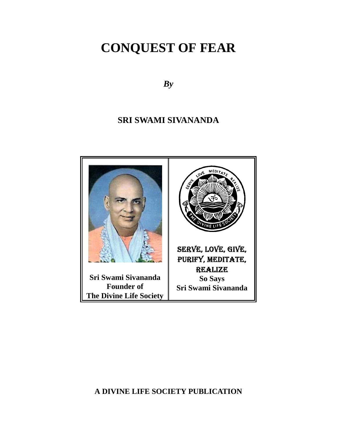*By*

## **SRI SWAMI SIVANANDA**



**A DIVINE LIFE SOCIETY PUBLICATION**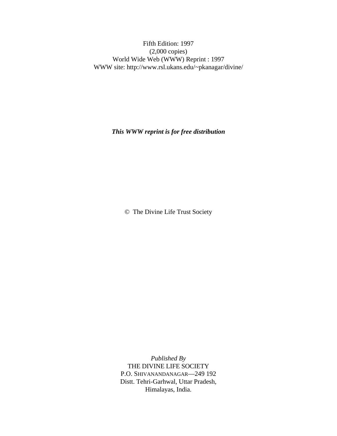Fifth Edition: 1997 (2,000 copies) World Wide Web (WWW) Reprint : 1997 WWW site: http://www.rsl.ukans.edu/~pkanagar/divine/

*This WWW reprint is for free distribution*

© The Divine Life Trust Society

*Published By* THE DIVINE LIFE SOCIETY P.O. SHIVANANDANAGAR—249 192 Distt. Tehri-Garhwal, Uttar Pradesh, Himalayas, India.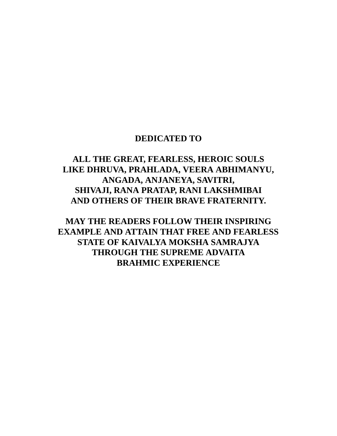## **DEDICATED TO**

## **ALL THE GREAT, FEARLESS, HEROIC SOULS LIKE DHRUVA, PRAHLADA, VEERA ABHIMANYU, ANGADA, ANJANEYA, SAVITRI, SHIVAJI, RANA PRATAP, RANI LAKSHMIBAI AND OTHERS OF THEIR BRAVE FRATERNITY.**

**MAY THE READERS FOLLOW THEIR INSPIRING EXAMPLE AND ATTAIN THAT FREE AND FEARLESS STATE OF KAIVALYA MOKSHA SAMRAJYA THROUGH THE SUPREME ADVAITA BRAHMIC EXPERIENCE**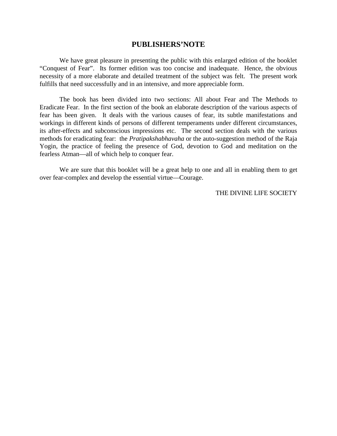#### **PUBLISHERS'NOTE**

We have great pleasure in presenting the public with this enlarged edition of the booklet "Conquest of Fear". Its former edition was too concise and inadequate. Hence, the obvious necessity of a more elaborate and detailed treatment of the subject was felt. The present work fulfills that need successfully and in an intensive, and more appreciable form.

The book has been divided into two sections: All about Fear and The Methods to Eradicate Fear. In the first section of the book an elaborate description of the various aspects of fear has been given. It deals with the various causes of fear, its subtle manifestations and workings in different kinds of persons of different temperaments under different circumstances, its after-effects and subconscious impressions etc. The second section deals with the various methods for eradicating fear: the *Pratipakshabhavaha* or the auto-suggestion method of the Raja Yogin, the practice of feeling the presence of God, devotion to God and meditation on the fearless Atman—all of which help to conquer fear.

We are sure that this booklet will be a great help to one and all in enabling them to get over fear-complex and develop the essential virtue—Courage.

THE DIVINE LIFE SOCIETY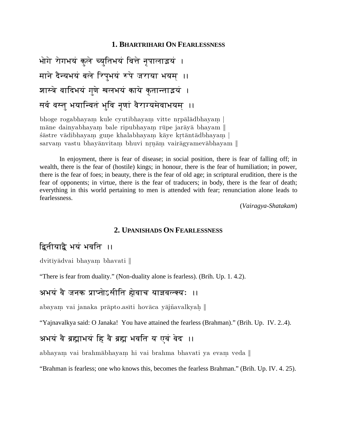### **1. BHARTRIHARI ON FEARLESSNESS**

```
भोगे रोगभयं कुले च्युतिभयं वित्ते नृपालाइयं ।
माने दैन्यभयं बले रिपभयं रूपे जराया भयमा।
शास्त्रे वादिभयं गणे खलभयं काये कतान्ताइयं ।
सर्व वस्त भयान्वितं भवि नणां वैराग्यमेवाभयमा।
```
bhoge rogabhayam kule cyutibhayam vitte nrpālādbhayam māne dainyabhayam bale ripubhayam rūpe jarāyā bhayam  $\parallel$ sästre vädibhayam gune khalabhayam käye krtäntädbhayam sarvam vastu bhayānvitam bhuvi nrnām vairāgyamevābhayam  $\parallel$ 

In enjoyment, there is fear of disease; in social position, there is fear of falling off; in wealth, there is the fear of (hostile) kings; in honour, there is the fear of humiliation; in power, there is the fear of foes; in beauty, there is the fear of old age; in scriptural erudition, there is the fear of opponents; in virtue, there is the fear of traducers; in body, there is the fear of death; everything in this world pertaining to men is attended with fear; renunciation alone leads to fearlessness.

(*Vairagya-Shatakam*)

#### **2. UPANISHADS ON FEARLESSNESS**

## द्वितीयाद्वै भयं भवति ।।

dvitīvādvai bhayam bhavati

"There is fear from duality." (Non-duality alone is fearless). (Brih. Up. 1. 4.2).

## अभयं वै जनक प्राप्तोऽसीति होवाच याज्ञवल्क्यः ।।

abayam vai janaka prāpto.asīti hovāca yājñavalkyah ||

"Yajnavalkya said: O Janaka! You have attained the fearless (Brahman)." (Brih. Up. IV. 2..4).

## अभयं वै ब्रह्माभयं हि वै ब्रह्म भवति य एवं वेद ।।

abhayam vai brahmābhayam hi vai brahma bhavati ya evam veda ||

"Brahman is fearless; one who knows this, becomes the fearless Brahman." (Brih. Up. IV. 4. 25).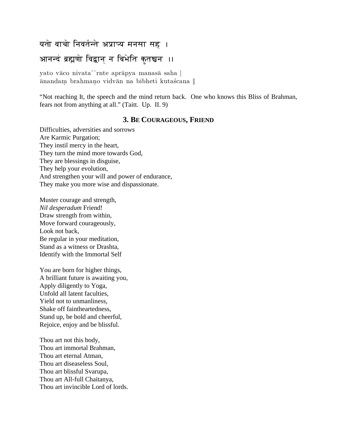## यतो वाचो निवर्तन्ते अप्राप्य मनसा सह ।

## आनन्दं ब्रह्मणो विद्वान न बिभेति कुतस्रुन ।।

yato vāco nivata^^rnte aprāpya manasā saha | ānandam brahmano vidvān na bibheti kutaścana ||

"Not reaching It, the speech and the mind return back. One who knows this Bliss of Brahman, fears not from anything at all." (Taitt. Up. II. 9)

### **3. BE COURAGEOUS, FRIEND**

Difficulties, adversities and sorrows Are Karmic Purgation; They instil mercy in the heart, They turn the mind more towards God, They are blessings in disguise, They help your evolution, And strengthen your will and power of endurance, They make you more wise and dispassionate.

Muster courage and strength, *Nil desperadum* Friend! Draw strength from within, Move forward courageously, Look not back, Be regular in your meditation, Stand as a witness or Drashta, Identify with the Immortal Self

You are born for higher things, A brilliant future is awaiting you, Apply diligently to Yoga, Unfold all latent faculties, Yield not to unmanliness, Shake off faintheartedness, Stand up, be bold and cheerful, Rejoice, enjoy and be blissful.

Thou art not this body, Thou art immortal Brahman, Thou art eternal Atman, Thou art diseaseless Soul, Thou art blissful Svarupa, Thou art All-full Chaitanya, Thou art invincible Lord of lords.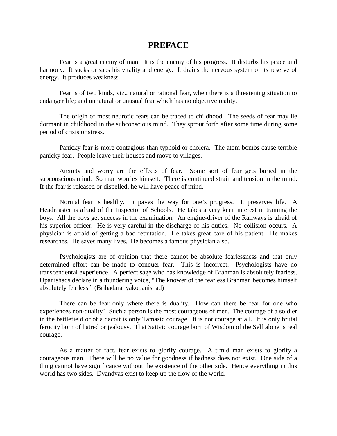### **PREFACE**

Fear is a great enemy of man. It is the enemy of his progress. It disturbs his peace and harmony. It sucks or saps his vitality and energy. It drains the nervous system of its reserve of energy. It produces weakness.

Fear is of two kinds, viz., natural or rational fear, when there is a threatening situation to endanger life; and unnatural or unusual fear which has no objective reality.

The origin of most neurotic fears can be traced to childhood. The seeds of fear may lie dormant in childhood in the subconscious mind. They sprout forth after some time during some period of crisis or stress.

Panicky fear is more contagious than typhoid or cholera. The atom bombs cause terrible panicky fear. People leave their houses and move to villages.

Anxiety and worry are the effects of fear. Some sort of fear gets buried in the subconscious mind. So man worries himself. There is continued strain and tension in the mind. If the fear is released or dispelled, he will have peace of mind.

Normal fear is healthy. It paves the way for one's progress. It preserves life. A Headmaster is afraid of the Inspector of Schools. He takes a very keen interest in training the boys. All the boys get success in the examination. An engine-driver of the Railways is afraid of his superior officer. He is very careful in the discharge of his duties. No collision occurs. A physician is afraid of getting a bad reputation. He takes great care of his patient. He makes researches. He saves many lives. He becomes a famous physician also.

Psychologists are of opinion that there cannot be absolute fearlessness and that only determined effort can be made to conquer fear. This is incorrect. Psychologists have no transcendental experience. A perfect sage who has knowledge of Brahman is absolutely fearless. Upanishads declare in a thundering voice, "The knower of the fearless Brahman becomes himself absolutely fearless." (Brihadaranyakopanishad)

There can be fear only where there is duality. How can there be fear for one who experiences non-duality? Such a person is the most courageous of men. The courage of a soldier in the battlefield or of a dacoit is only Tamasic courage. It is not courage at all. It is only brutal ferocity born of hatred or jealousy. That Sattvic courage born of Wisdom of the Self alone is real courage.

As a matter of fact, fear exists to glorify courage. A timid man exists to glorify a courageous man. There will be no value for goodness if badness does not exist. One side of a thing cannot have significance without the existence of the other side. Hence everything in this world has two sides. Dvandvas exist to keep up the flow of the world.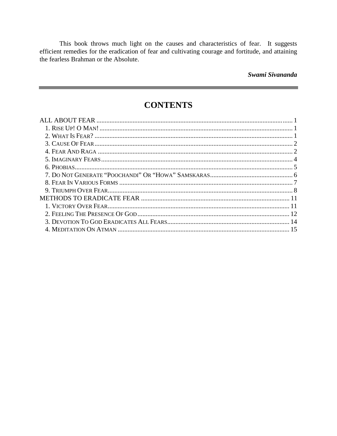This book throws much light on the causes and characteristics of fear. It suggests efficient remedies for the eradication of fear and cultivating courage and fortitude, and attaining the fearless Brahman or the Absolute.

#### Swami Sivananda

## **CONTENTS**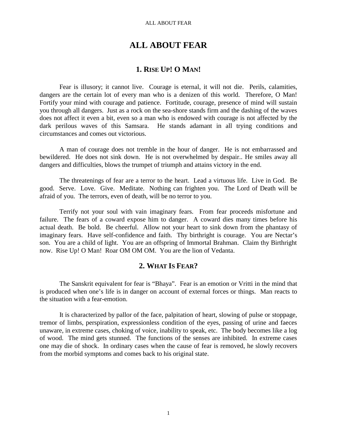#### ALL ABOUT FEAR

### **ALL ABOUT FEAR**

### **1. RISE UP! O MAN!**

Fear is illusory; it cannot live. Courage is eternal, it will not die. Perils, calamities, dangers are the certain lot of every man who is a denizen of this world. Therefore, O Man! Fortify your mind with courage and patience. Fortitude, courage, presence of mind will sustain you through all dangers. Just as a rock on the sea-shore stands firm and the dashing of the waves does not affect it even a bit, even so a man who is endowed with courage is not affected by the dark perilous waves of this Samsara. He stands adamant in all trying conditions and circumstances and comes out victorious.

A man of courage does not tremble in the hour of danger. He is not embarrassed and bewildered. He does not sink down. He is not overwhelmed by despair.. He smiles away all dangers and difficulties, blows the trumpet of triumph and attains victory in the end.

The threatenings of fear are a terror to the heart. Lead a virtuous life. Live in God. Be good. Serve. Love. Give. Meditate. Nothing can frighten you. The Lord of Death will be afraid of you. The terrors, even of death, will be no terror to you.

Terrify not your soul with vain imaginary fears. From fear proceeds misfortune and failure. The fears of a coward expose him to danger. A coward dies many times before his actual death. Be bold. Be cheerful. Allow not your heart to sink down from the phantasy of imaginary fears. Have self-confidence and faith. Thy birthright is courage. You are Nectar's son. You are a child of light. You are an offspring of Immortal Brahman. Claim thy Birthright now. Rise Up! O Man! Roar OM OM OM. You are the lion of Vedanta.

### **2. WHAT IS FEAR?**

The Sanskrit equivalent for fear is "Bhaya". Fear is an emotion or Vritti in the mind that is produced when one's life is in danger on account of external forces or things. Man reacts to the situation with a fear-emotion.

It is characterized by pallor of the face, palpitation of heart, slowing of pulse or stoppage, tremor of limbs, perspiration, expressionless condition of the eyes, passing of urine and faeces unaware, in extreme cases, choking of voice, inability to speak, etc. The body becomes like a log of wood. The mind gets stunned. The functions of the senses are inhibited. In extreme cases one may die of shock. In ordinary cases when the cause of fear is removed, he slowly recovers from the morbid symptoms and comes back to his original state.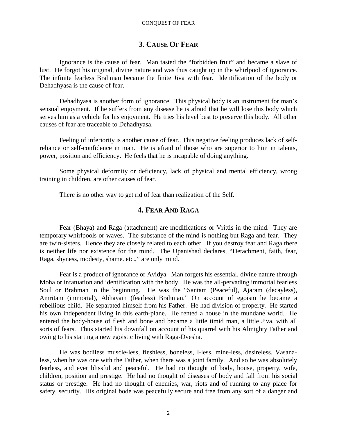### **3. CAUSE OF FEAR**

Ignorance is the cause of fear. Man tasted the "forbidden fruit" and became a slave of lust. He forgot his original, divine nature and was thus caught up in the whirlpool of ignorance. The infinite fearless Brahman became the finite Jiva with fear. Identification of the body or Dehadhyasa is the cause of fear.

Dehadhyasa is another form of ignorance. This physical body is an instrument for man's sensual enjoyment. If he suffers from any disease he is afraid that he will lose this body which serves him as a vehicle for his enjoyment. He tries his level best to preserve this body. All other causes of fear are traceable to Dehadhyasa.

Feeling of inferiority is another cause of fear.. This negative feeling produces lack of selfreliance or self-confidence in man. He is afraid of those who are superior to him in talents, power, position and efficiency. He feels that he is incapable of doing anything.

Some physical deformity or deficiency, lack of physical and mental efficiency, wrong training in children, are other causes of fear.

There is no other way to get rid of fear than realization of the Self.

### **4. FEAR AND RAGA**

Fear (Bhaya) and Raga (attachment) are modifications or Vrittis in the mind. They are temporary whirlpools or waves. The substance of the mind is nothing but Raga and fear. They are twin-sisters. Hence they are closely related to each other. If you destroy fear and Raga there is neither life nor existence for the mind. The Upanishad declares, "Detachment, faith, fear, Raga, shyness, modesty, shame. etc.," are only mind.

Fear is a product of ignorance or Avidya. Man forgets his essential, divine nature through Moha or infatuation and identification with the body. He was the all-pervading immortal fearless Soul or Brahman in the beginning. He was the "Santam (Peaceful), Ajaram (decayless), Amritam (immortal), Abhayam (fearless) Brahman." On account of egoism he became a rebellious child. He separated himself from his Father. He had division of property. He started his own independent living in this earth-plane. He rented a house in the mundane world. He entered the body-house of flesh and bone and became a little timid man, a little Jiva, with all sorts of fears. Thus started his downfall on account of his quarrel with his Almighty Father and owing to his starting a new egoistic living with Raga-Dvesha.

He was bodiless muscle-less, fleshless, boneless, I-less, mine-less, desireless, Vasanaless, when he was one with the Father, when there was a joint family. And so he was absolutely fearless, and ever blissful and peaceful. He had no thought of body, house, property, wife, children, position and prestige. He had no thought of diseases of body and fall from his social status or prestige. He had no thought of enemies, war, riots and of running to any place for safety, security. His original bode was peacefully secure and free from any sort of a danger and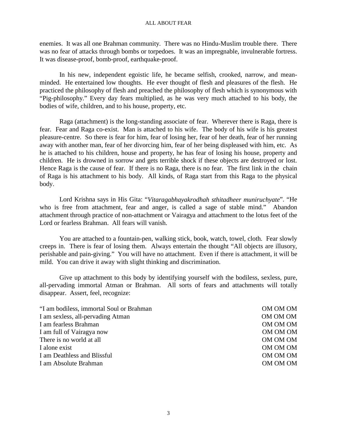enemies. It was all one Brahman community. There was no Hindu-Muslim trouble there. There was no fear of attacks through bombs or torpedoes. It was an impregnable, invulnerable fortress. It was disease-proof, bomb-proof, earthquake-proof.

In his new, independent egoistic life, he became selfish, crooked, narrow, and meanminded. He entertained low thoughts. He ever thought of flesh and pleasures of the flesh. He practiced the philosophy of flesh and preached the philosophy of flesh which is synonymous with "Pig-philosophy." Every day fears multiplied, as he was very much attached to his body, the bodies of wife, children, and to his house, property, etc.

Raga (attachment) is the long-standing associate of fear. Wherever there is Raga, there is fear. Fear and Raga co-exist. Man is attached to his wife. The body of his wife is his greatest pleasure-centre. So there is fear for him, fear of losing her, fear of her death, fear of her running away with another man, fear of her divorcing him, fear of her being displeased with him, etc. As he is attached to his children, house and property, he has fear of losing his house, property and children. He is drowned in sorrow and gets terrible shock if these objects are destroyed or lost. Hence Raga is the cause of fear. If there is no Raga, there is no fear. The first link in the chain of Raga is his attachment to his body. All kinds, of Raga start from this Raga to the physical body.

Lord Krishna says in His Gita: "*Vitaragabhayakrodhah sthitadheer muniruchyate*". "He who is free from attachment, fear and anger, is called a sage of stable mind." Abandon attachment through practice of non-attachment or Vairagya and attachment to the lotus feet of the Lord or fearless Brahman. All fears will vanish.

You are attached to a fountain-pen, walking stick, book, watch, towel, cloth. Fear slowly creeps in. There is fear of losing them. Always entertain the thought "All objects are illusory, perishable and pain-giving." You will have no attachment. Even if there is attachment, it will be mild. You can drive it away with slight thinking and discrimination.

Give up attachment to this body by identifying yourself with the bodiless, sexless, pure, all-pervading immortal Atman or Brahman. All sorts of fears and attachments will totally disappear. Assert, feel, recognize:

"I am bodiless, immortal Soul or Brahman OM OM OM I am sexless, all-pervading Atman  $OMOM$ I am fearless Brahman OM OM OM I am full of Vairagya now OM OM OM There is no world at all **OM OM OM OM** I alone exist OM OM OM I am Deathless and Blissful OM OM OM I am Absolute Brahman **I** am Absolute Brahman **OM OM OM OM OM**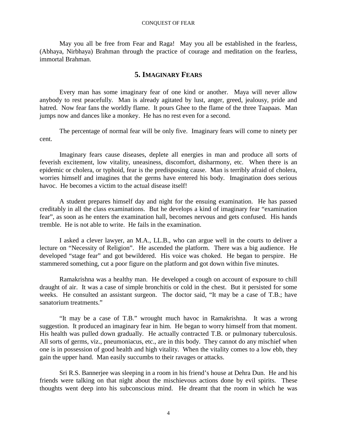May you all be free from Fear and Raga! May you all be established in the fearless, (Abhaya, Nirbhaya) Brahman through the practice of courage and meditation on the fearless, immortal Brahman.

#### **5. IMAGINARY FEARS**

Every man has some imaginary fear of one kind or another. Maya will never allow anybody to rest peacefully. Man is already agitated by lust, anger, greed, jealousy, pride and hatred. Now fear fans the worldly flame. It pours Ghee to the flame of the three Taapaas. Man jumps now and dances like a monkey. He has no rest even for a second.

The percentage of normal fear will be only five. Imaginary fears will come to ninety per cent.

Imaginary fears cause diseases, deplete all energies in man and produce all sorts of feverish excitement, low vitality, uneasiness, discomfort, disharmony, etc. When there is an epidemic or cholera, or typhoid, fear is the predisposing cause. Man is terribly afraid of cholera, worries himself and imagines that the germs have entered his body. Imagination does serious havoc. He becomes a victim to the actual disease itself!

A student prepares himself day and night for the ensuing examination. He has passed creditably in all the class examinations. But he develops a kind of imaginary fear "examination fear", as soon as he enters the examination hall, becomes nervous and gets confused. His hands tremble. He is not able to write. He fails in the examination.

I asked a clever lawyer, an M.A., LL.B., who can argue well in the courts to deliver a lecture on "Necessity of Religion". He ascended the platform. There was a big audience. He developed "stage fear" and got bewildered. His voice was choked. He began to perspire. He stammered something, cut a poor figure on the platform and got down within five minutes.

Ramakrishna was a healthy man. He developed a cough on account of exposure to chill draught of air. It was a case of simple bronchitis or cold in the chest. But it persisted for some weeks. He consulted an assistant surgeon. The doctor said, "It may be a case of T.B.; have sanatorium treatments."

"It may be a case of T.B." wrought much havoc in Ramakrishna. It was a wrong suggestion. It produced an imaginary fear in him. He began to worry himself from that moment. His health was pulled down gradually. He actually contracted T.B. or pulmonary tuberculosis. All sorts of germs, viz., pneumoniacus, etc., are in this body. They cannot do any mischief when one is in possession of good health and high vitality. When the vitality comes to a low ebb, they gain the upper hand. Man easily succumbs to their ravages or attacks.

Sri R.S. Bannerjee was sleeping in a room in his friend's house at Dehra Dun. He and his friends were talking on that night about the mischievous actions done by evil spirits. These thoughts went deep into his subconscious mind. He dreamt that the room in which he was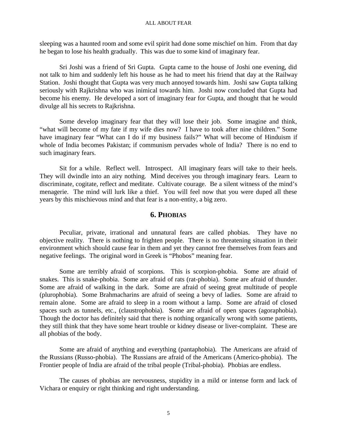sleeping was a haunted room and some evil spirit had done some mischief on him. From that day he began to lose his health gradually. This was due to some kind of imaginary fear.

Sri Joshi was a friend of Sri Gupta. Gupta came to the house of Joshi one evening, did not talk to him and suddenly left his house as he had to meet his friend that day at the Railway Station. Joshi thought that Gupta was very much annoyed towards him. Joshi saw Gupta talking seriously with Rajkrishna who was inimical towards him. Joshi now concluded that Gupta had become his enemy. He developed a sort of imaginary fear for Gupta, and thought that he would divulge all his secrets to Rajkrishna.

Some develop imaginary fear that they will lose their job. Some imagine and think, "what will become of my fate if my wife dies now? I have to took after nine children." Some have imaginary fear "What can I do if my business fails?" What will become of Hinduism if whole of India becomes Pakistan; if communism pervades whole of India? There is no end to such imaginary fears.

Sit for a while. Reflect well. Introspect. All imaginary fears will take to their heels. They will dwindle into an airy nothing. Mind deceives you through imaginary fears. Learn to discriminate, cogitate, reflect and meditate. Cultivate courage. Be a silent witness of the mind's menagerie. The mind will lurk like a thief. You will feel now that you were duped all these years by this mischievous mind and that fear is a non-entity, a big zero.

### **6. PHOBIAS**

Peculiar, private, irrational and unnatural fears are called phobias. They have no objective reality. There is nothing to frighten people. There is no threatening situation in their environment which should cause fear in them and yet they cannot free themselves from fears and negative feelings. The original word in Greek is "Phobos" meaning fear.

Some are terribly afraid of scorpions. This is scorpion-phobia. Some are afraid of snakes. This is snake-phobia. Some are afraid of rats (rat-phobia). Some are afraid of thunder. Some are afraid of walking in the dark. Some are afraid of seeing great multitude of people (plurophobia). Some Brahmacharins are afraid of seeing a bevy of ladies. Some are afraid to remain alone. Some are afraid to sleep in a room without a lamp. Some are afraid of closed spaces such as tunnels, etc., (claustrophobia). Some are afraid of open spaces (agoraphobia). Though the doctor has definitely said that there is nothing organically wrong with some patients, they still think that they have some heart trouble or kidney disease or liver-complaint. These are all phobias of the body.

Some are afraid of anything and everything (pantaphobia). The Americans are afraid of the Russians (Russo-phobia). The Russians are afraid of the Americans (Americo-phobia). The Frontier people of India are afraid of the tribal people (Tribal-phobia). Phobias are endless.

The causes of phobias are nervousness, stupidity in a mild or intense form and lack of Vichara or enquiry or right thinking and right understanding.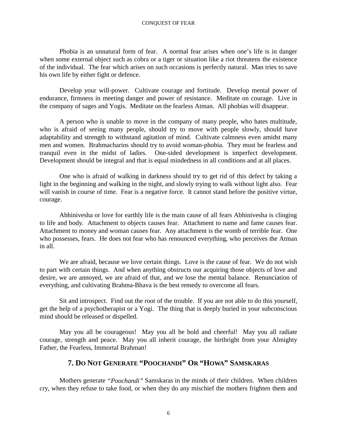Phobia is an unnatural form of fear. A normal fear arises when one's life is in danger when some external object such as cobra or a tiger or situation like a riot threatens the existence of the individual. The fear which arises on such occasions is perfectly natural. Man tries to save his own life by either fight or defence.

Develop your will-power. Cultivate courage and fortitude. Develop mental power of endurance, firmness in meeting danger and power of resistance. Meditate on courage. Live in the company of sages and Yogis. Meditate on the fearless Atman. All phobias will disappear.

A person who is unable to move in the company of many people, who hates multitude, who is afraid of seeing many people, should try to move with people slowly, should have adaptability and strength to withstand agitation of mind. Cultivate calmness even amidst many men and women. Brahmacharins should try to avoid woman-phobia. They must be fearless and tranquil even in the midst of ladies. One-sided development is imperfect development. Development should be integral and that is equal mindedness in all conditions and at all places.

One who is afraid of walking in darkness should try to get rid of this defect by taking a light in the beginning and walking in the night, and slowly trying to walk without light also. Fear will vanish in course of time. Fear is a negative force. It cannot stand before the positive virtue, courage.

Abhinivesha or love for earthly life is the main cause of all fears Abhinivesha is clinging to life and body. Attachment to objects causes fear. Attachment to name and fame causes fear. Attachment to money and woman causes fear. Any attachment is the womb of terrible fear. One who possesses, fears. He does not fear who has renounced everything, who perceives the Atman in all.

We are afraid, because we love certain things. Love is the cause of fear. We do not wish to part with certain things. And when anything obstructs our acquiring those objects of love and desire, we are annoyed, we are afraid of that, and we lose the mental balance. Renunciation of everything, and cultivating Brahma-Bhava is the best remedy to overcome all fears.

Sit and introspect. Find out the root of the trouble. If you are not able to do this yourself, get the help of a psychotherapist or a Yogi. The thing that is deeply buried in your subconscious mind should be released or dispelled.

May you all be courageous! May you all be bold and cheerful! May you all radiate courage, strength and peace. May you all inherit courage, the birthright from your Almighty Father, the Fearless, Immortal Brahman!

### **7. DO NOT GENERATE "POOCHANDI" OR "HOWA" SAMSKARAS**

Mothers generate *"Poochandi"* Samskaras in the minds of their children. When children cry, when they refuse to take food, or when they do any mischief the mothers frighten them and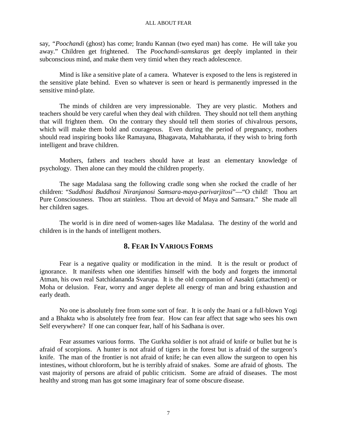say, *"Poochandi* (ghost) has come; Irandu Kannan (two eyed man) has come. He will take you away." Children get frightened. The *Poochandi-samskaras* get deeply implanted in their subconscious mind, and make them very timid when they reach adolescence.

Mind is like a sensitive plate of a camera. Whatever is exposed to the lens is registered in the sensitive plate behind. Even so whatever is seen or heard is permanently impressed in the sensitive mind-plate.

The minds of children are very impressionable. They are very plastic. Mothers and teachers should be very careful when they deal with children. They should not tell them anything that will frighten them. On the contrary they should tell them stories of chivalrous persons, which will make them bold and courageous. Even during the period of pregnancy, mothers should read inspiring books like Ramayana, Bhagavata, Mahabharata, if they wish to bring forth intelligent and brave children.

Mothers, fathers and teachers should have at least an elementary knowledge of psychology. Then alone can they mould the children properly.

The sage Madalasa sang the following cradle song when she rocked the cradle of her children: "*Suddhosi Buddhosi Niranjanosi Samsara-maya-parivarjitosi*"—"O child! Thou art Pure Consciousness. Thou art stainless. Thou art devoid of Maya and Samsara." She made all her children sages.

The world is in dire need of women-sages like Madalasa. The destiny of the world and children is in the hands of intelligent mothers.

### **8. FEAR IN VARIOUS FORMS**

Fear is a negative quality or modification in the mind. It is the result or product of ignorance. It manifests when one identifies himself with the body and forgets the immortal Atman, his own real Satchidananda Svarupa. It is the old companion of Aasakti (attachment) or Moha or delusion. Fear, worry and anger deplete all energy of man and bring exhaustion and early death.

No one is absolutely free from some sort of fear. It is only the Jnani or a full-blown Yogi and a Bhakta who is absolutely free from fear. How can fear affect that sage who sees his own Self everywhere? If one can conquer fear, half of his Sadhana is over.

Fear assumes various forms. The Gurkha soldier is not afraid of knife or bullet but he is afraid of scorpions. A hunter is not afraid of tigers in the forest but is afraid of the surgeon's knife. The man of the frontier is not afraid of knife; he can even allow the surgeon to open his intestines, without chloroform, but he is terribly afraid of snakes. Some are afraid of ghosts. The vast majority of persons are afraid of public criticism. Some are afraid of diseases. The most healthy and strong man has got some imaginary fear of some obscure disease.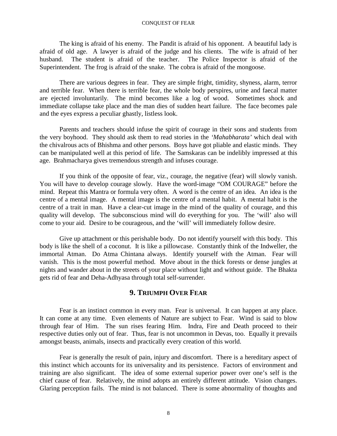The king is afraid of his enemy. The Pandit is afraid of his opponent. A beautiful lady is afraid of old age. A lawyer is afraid of the judge and his clients. The wife is afraid of her husband. The student is afraid of the teacher. The Police Inspector is afraid of the Superintendent. The frog is afraid of the snake. The cobra is afraid of the mongoose.

There are various degrees in fear. They are simple fright, timidity, shyness, alarm, terror and terrible fear. When there is terrible fear, the whole body perspires, urine and faecal matter are ejected involuntarily. The mind becomes like a log of wood. Sometimes shock and immediate collapse take place and the man dies of sudden heart failure. The face becomes pale and the eyes express a peculiar ghastly, listless look.

Parents and teachers should infuse the spirit of courage in their sons and students from the very boyhood. They should ask them to read stories in the *'Mahabharata'* which deal with the chivalrous acts of Bhishma and other persons. Boys have got pliable and elastic minds. They can be manipulated well at this period of life. The Samskaras can be indelibly impressed at this age. Brahmacharya gives tremendous strength and infuses courage.

If you think of the opposite of fear, viz., courage, the negative (fear) will slowly vanish. You will have to develop courage slowly. Have the word-image "OM COURAGE" before the mind. Repeat this Mantra or formula very often. A word is the centre of an idea. An idea is the centre of a mental image. A mental image is the centre of a mental habit. A mental habit is the centre of a trait in man. Have a clear-cut image in the mind of the quality of courage, and this quality will develop. The subconscious mind will do everything for you. The 'will' also will come to your aid. Desire to be courageous, and the 'will' will immediately follow desire.

Give up attachment or this perishable body. Do not identify yourself with this body. This body is like the shell of a coconut. It is like a pillowcase. Constantly think of the Indweller, the immortal Atman. Do Atma Chintana always. Identify yourself with the Atman. Fear will vanish. This is the most powerful method. Move about in the thick forests or dense jungles at nights and wander about in the streets of your place without light and without guide. The Bhakta gets rid of fear and Deha-Adhyasa through total self-surrender.

### **9. TRIUMPH OVER FEAR**

Fear is an instinct common in every man. Fear is universal. It can happen at any place. It can come at any time. Even elements of Nature are subject to Fear. Wind is said to blow through fear of Him. The sun rises fearing Him. Indra, Fire and Death proceed to their respective duties only out of fear. Thus, fear is not uncommon in Devas, too. Equally it prevails amongst beasts, animals, insects and practically every creation of this world.

Fear is generally the result of pain, injury and discomfort. There is a hereditary aspect of this instinct which accounts for its universality and its persistence. Factors of environment and training are also significant. The idea of some external superior power over one's self is the chief cause of fear. Relatively, the mind adopts an entirely different attitude. Vision changes. Glaring perception fails. The mind is not balanced. There is some abnormality of thoughts and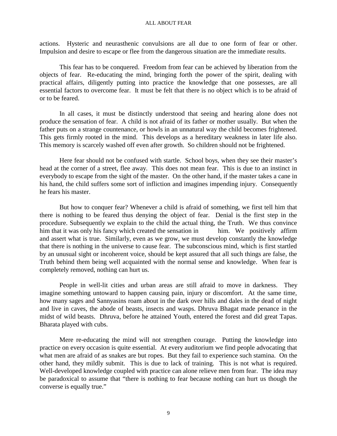#### ALL ABOUT FEAR

actions. Hysteric and neurasthenic convulsions are all due to one form of fear or other. Impulsion and desire to escape or flee from the dangerous situation are the immediate results.

This fear has to be conquered. Freedom from fear can be achieved by liberation from the objects of fear. Re-educating the mind, bringing forth the power of the spirit, dealing with practical affairs, diligently putting into practice the knowledge that one possesses, are all essential factors to overcome fear. It must be felt that there is no object which is to be afraid of or to be feared.

In all cases, it must be distinctly understood that seeing and hearing alone does not produce the sensation of fear. A child is not afraid of its father or mother usually. But when the father puts on a strange countenance, or howls in an unnatural way the child becomes frightened. This gets firmly rooted in the mind. This develops as a hereditary weakness in later life also. This memory is scarcely washed off even after growth. So children should not be frightened.

Here fear should not be confused with startle. School boys, when they see their master's head at the corner of a street, flee away. This does not mean fear. This is due to an instinct in everybody to escape from the sight of the master. On the other hand, if the master takes a cane in his hand, the child suffers some sort of infliction and imagines impending injury. Consequently he fears his master.

But how to conquer fear? Whenever a child is afraid of something, we first tell him that there is nothing to be feared thus denying the object of fear. Denial is the first step in the procedure. Subsequently we explain to the child the actual thing, the Truth. We thus convince him that it was only his fancy which created the sensation in him. We positively affirm and assert what is true. Similarly, even as we grow, we must develop constantly the knowledge that there is nothing in the universe to cause fear. The subconscious mind, which is first startled by an unusual sight or incoherent voice, should be kept assured that all such things are false, the Truth behind them being well acquainted with the normal sense and knowledge. When fear is completely removed, nothing can hurt us.

People in well-lit cities and urban areas are still afraid to move in darkness. They imagine something untoward to happen causing pain, injury or discomfort. At the same time, how many sages and Sannyasins roam about in the dark over hills and dales in the dead of night and live in caves, the abode of beasts, insects and wasps. Dhruva Bhagat made penance in the midst of wild beasts. Dhruva, before he attained Youth, entered the forest and did great Tapas. Bharata played with cubs.

Mere re-educating the mind will not strengthen courage. Putting the knowledge into practice on every occasion is quite essential. At every auditorium we find people advocating that what men are afraid of as snakes are but ropes. But they fail to experience such stamina. On the other hand, they mildly submit. This is due to lack of training. This is not what is required. Well-developed knowledge coupled with practice can alone relieve men from fear. The idea may be paradoxical to assume that "there is nothing to fear because nothing can hurt us though the converse is equally true."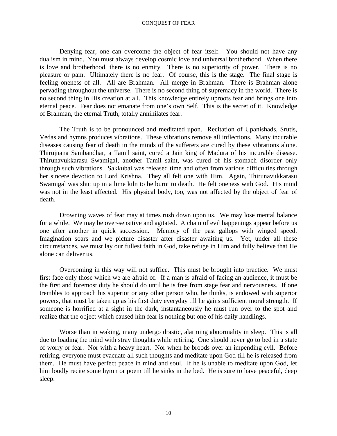Denying fear, one can overcome the object of fear itself. You should not have any dualism in mind. You must always develop cosmic love and universal brotherhood. When there is love and brotherhood, there is no enmity. There is no superiority of power. There is no pleasure or pain. Ultimately there is no fear. Of course, this is the stage. The final stage is feeling oneness of all. All are Brahman. All merge in Brahman. There is Brahman alone pervading throughout the universe. There is no second thing of supremacy in the world. There is no second thing in His creation at all. This knowledge entirely uproots fear and brings one into eternal peace. Fear does not emanate from one's own Self. This is the secret of it. Knowledge of Brahman, the eternal Truth, totally annihilates fear.

The Truth is to be pronounced and meditated upon. Recitation of Upanishads, Srutis, Vedas and hymns produces vibrations. These vibrations remove all inflections. Many incurable diseases causing fear of death in the minds of the sufferers are cured by these vibrations alone. Thirujnana Sambandhar, a Tamil saint, cured a Jain king of Madura of his incurable disease. Thirunavukkarasu Swamigal, another Tamil saint, was cured of his stomach disorder only through such vibrations. Sakkubai was released time and often from various difficulties through her sincere devotion to Lord Krishna. They all felt one with Him. Again, Thirunavukkarasu Swamigal was shut up in a lime kiln to be burnt to death. He felt oneness with God. His mind was not in the least affected. His physical body, too, was not affected by the object of fear of death.

Drowning waves of fear may at times rush down upon us. We may lose mental balance for a while. We may be over-sensitive and agitated. A chain of evil happenings appear before us one after another in quick succession. Memory of the past gallops with winged speed. Imagination soars and we picture disaster after disaster awaiting us. Yet, under all these circumstances, we must lay our fullest faith in God, take refuge in Him and fully believe that He alone can deliver us.

Overcoming in this way will not suffice. This must be brought into practice. We must first face only those which we are afraid of. If a man is afraid of facing an audience, it must be the first and foremost duty he should do until he is free from stage fear and nervousness. If one trembles to approach his superior or any other person who, he thinks, is endowed with superior powers, that must be taken up as his first duty everyday till he gains sufficient moral strength. If someone is horrified at a sight in the dark, instantaneously he must run over to the spot and realize that the object which caused him fear is nothing but one of his daily handlings.

Worse than in waking, many undergo drastic, alarming abnormality in sleep. This is all due to loading the mind with stray thoughts while retiring. One should never go to bed in a state of worry or fear. Nor with a heavy heart. Nor when he broods over an impending evil. Before retiring, everyone must evacuate all such thoughts and meditate upon God till he is released from them. He must have perfect peace in mind and soul. If he is unable to meditate upon God, let him loudly recite some hymn or poem till he sinks in the bed. He is sure to have peaceful, deep sleep.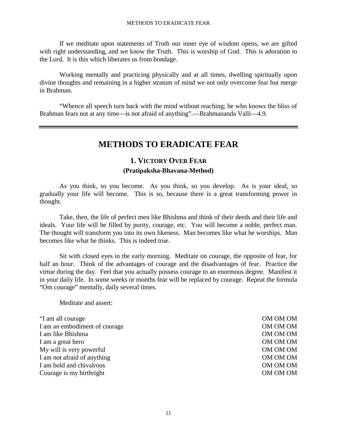If we meditate upon statements of Truth our inner eye of wisdom opens, we are gifted with right understanding, and we know the Truth. This is worship of God. This is adoration to the Lord. It is this which liberates us from bondage.

Working mentally and practicing physically and at all times, dwelling spiritually upon divine thoughts and remaining in a higher stratum of mind we not only overcome fear but merge in Brahman.

"Whence all speech turn back with the mind without reaching; he who knows the bliss of Brahman fears not at any time—is not afraid of anything".—Brahmananda Valli—4.9.

## **METHODS TO ERADICATE FEAR**

### **1. VICTORY OVER FEAR (Pratipaksha-Bhavana-Method)**

As you think, so you become. As you think, so you develop. As is your ideal, so gradually your life will become. This is so, because there is a great transforming power in thought.

Take, then, the life of perfect men like Bhishma and think of their deeds and their life and ideals. Your life will be filled by purity, courage, etc. You will become a noble, perfect man. The thought will transform you into its own likeness. Man becomes like what he worships. Man becomes like what he thinks. This is indeed true.

Sit with closed eyes in the early morning. Meditate on courage, the opposite of fear, for half an hour. Think of the advantages of courage and the disadvantages of fear. Practice the virtue during the day. Feel that you actually possess courage to an enormous degree. Manifest it in your daily life. In some weeks or months fear will be replaced by courage. Repeat the formula "Om courage" mentally, daily several times.

Meditate and assert:

"I am all courage OM OM OM I am an embodiment of courage OM OM OM OM OM I am like Bhishma OM OM OM I am a great hero OM OM OM My will is very powerful and the set of the office of  $OMOM$ I am not afraid of anything OM OM OM OM I am bold and chivalrous OM OM OM OM Courage is my birthright OM OM OM OM OM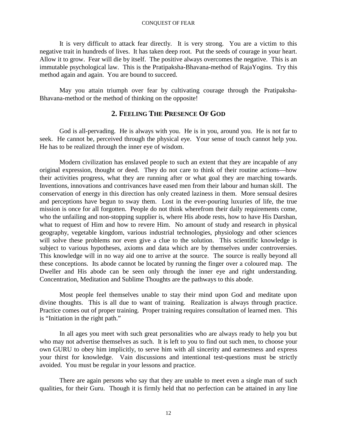It is very difficult to attack fear directly. It is very strong. You are a victim to this negative trait in hundreds of lives. It has taken deep root. Put the seeds of courage in your heart. Allow it to grow. Fear will die by itself. The positive always overcomes the negative. This is an immutable psychological law. This is the Pratipaksha-Bhavana-method of RajaYogins. Try this method again and again. You are bound to succeed.

May you attain triumph over fear by cultivating courage through the Pratipaksha-Bhavana-method or the method of thinking on the opposite!

#### **2. FEELING THE PRESENCE OF GOD**

God is all-pervading. He is always with you. He is in you, around you. He is not far to seek. He cannot be, perceived through the physical eye. Your sense of touch cannot help you. He has to be realized through the inner eye of wisdom.

Modern civilization has enslaved people to such an extent that they are incapable of any original expression, thought or deed. They do not care to think of their routine actions—how their activities progress, what they are running after or what goal they are marching towards. Inventions, innovations and contrivances have eased men from their labour and human skill. The conservation of energy in this direction has only created laziness in them. More sensual desires and perceptions have begun to sway them. Lost in the ever-pouring luxuries of life, the true mission is once for all forgotten. People do not think wherefrom their daily requirements come, who the unfailing and non-stopping supplier is, where His abode rests, how to have His Darshan, what to request of Him and how to revere Him. No amount of study and research in physical geography, vegetable kingdom, various industrial technologies, physiology and other sciences will solve these problems nor even give a clue to the solution. This scientific knowledge is subject to various hypotheses, axioms and data which are by themselves under controversies. This knowledge will in no way aid one to arrive at the source. The source is really beyond all these conceptions. Its abode cannot be located by running the finger over a coloured map. The Dweller and His abode can be seen only through the inner eye and right understanding. Concentration, Meditation and Sublime Thoughts are the pathways to this abode.

Most people feel themselves unable to stay their mind upon God and meditate upon divine thoughts. This is all due to want of training. Realization is always through practice. Practice comes out of proper training. Proper training requires consultation of learned men. This is "Initiation in the right path."

In all ages you meet with such great personalities who are always ready to help you but who may not advertise themselves as such. It is left to you to find out such men, to choose your own GURU to obey him implicitly, to serve him with all sincerity and earnestness and express your thirst for knowledge. Vain discussions and intentional test-questions must be strictly avoided. You must be regular in your lessons and practice.

There are again persons who say that they are unable to meet even a single man of such qualities, for their Guru. Though it is firmly held that no perfection can be attained in any line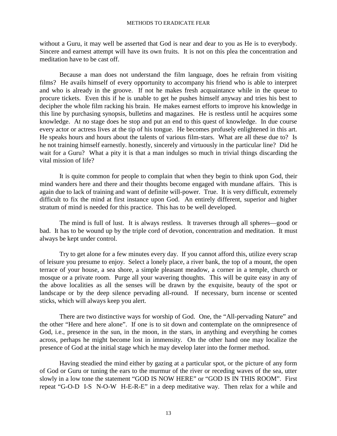without a Guru, it may well be asserted that God is near and dear to you as He is to everybody. Sincere and earnest attempt will have its own fruits. It is not on this plea the concentration and meditation have to be cast off.

Because a man does not understand the film language, does he refrain from visiting films? He avails himself of every opportunity to accompany his friend who is able to interpret and who is already in the groove. If not he makes fresh acquaintance while in the queue to procure tickets. Even this if he is unable to get he pushes himself anyway and tries his best to decipher the whole film racking his brain. He makes earnest efforts to improve his knowledge in this line by purchasing synopsis, bulletins and magazines. He is restless until he acquires some knowledge. At no stage does he stop and put an end to this quest of knowledge. In due course every actor or actress lives at the tip of his tongue. He becomes profusely enlightened in this art. He speaks hours and hours about the talents of various film-stars. What are all these due to? Is he not training himself earnestly. honestly, sincerely and virtuously in the particular line? Did he wait for a Guru? What a pity it is that a man indulges so much in trivial things discarding the vital mission of life?

It is quite common for people to complain that when they begin to think upon God, their mind wanders here and there and their thoughts become engaged with mundane affairs. This is again due to lack of training and want of definite will-power. True. It is very difficult, extremely difficult to fix the mind at first instance upon God. An entirely different, superior and higher stratum of mind is needed for this practice. This has to be well developed.

The mind is full of lust. It is always restless. It traverses through all spheres—good or bad. It has to be wound up by the triple cord of devotion, concentration and meditation. It must always be kept under control.

Try to get alone for a few minutes every day. If you cannot afford this, utilize every scrap of leisure you presume to enjoy. Select a lonely place, a river bank, the top of a mount, the open terrace of your house, a sea shore, a simple pleasant meadow, a corner in a temple, church or mosque or a private room. Purge all your wavering thoughts. This will be quite easy in any of the above localities as all the senses will be drawn by the exquisite, beauty of the spot or landscape or by the deep silence pervading all-round. If necessary, burn incense or scented sticks, which will always keep you alert.

There are two distinctive ways for worship of God. One, the "All-pervading Nature" and the other "Here and here alone". If one is to sit down and contemplate on the omnipresence of God, i.e., presence in the sun, in the moon, in the stars, in anything and everything he comes across, perhaps he might become lost in immensity. On the other hand one may localize the presence of God at the initial stage which he may develop later into the former method.

Having steadied the mind either by gazing at a particular spot, or the picture of any form of God or Guru or tuning the ears to the murmur of the river or receding waves of the sea, utter slowly in a low tone the statement "GOD IS NOW HERE" or "GOD IS IN THIS ROOM". First repeat "G-O-D I-S N-O-W H-E-R-E" in a deep meditative way. Then relax for a while and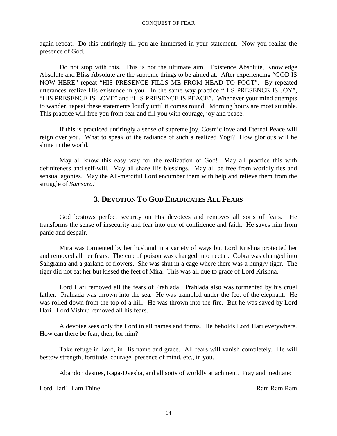again repeat. Do this untiringly till you are immersed in your statement. Now you realize the presence of God.

Do not stop with this. This is not the ultimate aim. Existence Absolute, Knowledge Absolute and Bliss Absolute are the supreme things to be aimed at. After experiencing "GOD IS NOW HERE" repeat "HIS PRESENCE FILLS ME FROM HEAD TO FOOT". By repeated utterances realize His existence in you. In the same way practice "HIS PRESENCE IS JOY", "HIS PRESENCE IS LOVE" and "HIS PRESENCE IS PEACE". Whenever your mind attempts to wander, repeat these statements loudly until it comes round. Morning hours are most suitable. This practice will free you from fear and fill you with courage, joy and peace.

If this is practiced untiringly a sense of supreme joy, Cosmic love and Eternal Peace will reign over you. What to speak of the radiance of such a realized Yogi? How glorious will he shine in the world.

May all know this easy way for the realization of God! May all practice this with definiteness and self-will. May all share His blessings. May all be free from worldly ties and sensual agonies. May the All-merciful Lord encumber them with help and relieve them from the struggle of *Samsara!*

### **3. DEVOTION TO GOD ERADICATES ALL FEARS**

God bestows perfect security on His devotees and removes all sorts of fears. He transforms the sense of insecurity and fear into one of confidence and faith. He saves him from panic and despair.

Mira was tormented by her husband in a variety of ways but Lord Krishna protected her and removed all her fears. The cup of poison was changed into nectar. Cobra was changed into Saligrama and a garland of flowers. She was shut in a cage where there was a hungry tiger. The tiger did not eat her but kissed the feet of Mira. This was all due to grace of Lord Krishna.

Lord Hari removed all the fears of Prahlada. Prahlada also was tormented by his cruel father. Prahlada was thrown into the sea. He was trampled under the feet of the elephant. He was rolled down from the top of a hill. He was thrown into the fire. But he was saved by Lord Hari. Lord Vishnu removed all his fears.

A devotee sees only the Lord in all names and forms. He beholds Lord Hari everywhere. How can there be fear, then, for him?

Take refuge in Lord, in His name and grace. All fears will vanish completely. He will bestow strength, fortitude, courage, presence of mind, etc., in you.

Abandon desires, Raga-Dvesha, and all sorts of worldly attachment. Pray and meditate:

Lord Hari! I am Thine Ram Ram Ram